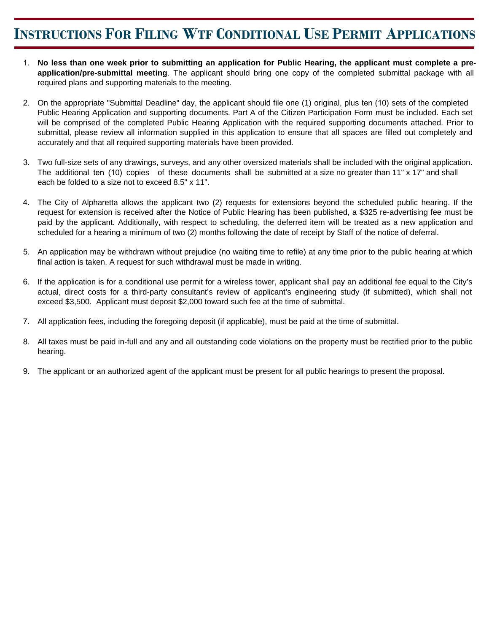## **INSTRUCTIONS FOR FILING WTF CONDITIONAL USE PERMIT APPLICATIONS**

- 1. **No less than one week prior to submitting an application for Public Hearing, the applicant must complete a preapplication/pre-submittal meeting**. The applicant should bring one copy of the completed submittal package with all required plans and supporting materials to the meeting.
- 2. On the appropriate "Submittal Deadline" day, the applicant should file one (1) original, plus ten (10) sets of the completed Public Hearing Application and supporting documents. Part A of the Citizen Participation Form must be included. Each set will be comprised of the completed Public Hearing Application with the required supporting documents attached. Prior to submittal, please review all information supplied in this application to ensure that all spaces are filled out completely and accurately and that all required supporting materials have been provided.
- 3. Two full-size sets of any drawings, surveys, and any other oversized materials shall be included with the original application. The additional ten (10) copies of these documents shall be submitted at a size no greater than 11" x 17" and shall each be folded to a size not to exceed 8.5" x 11".
- 4. The City of Alpharetta allows the applicant two (2) requests for extensions beyond the scheduled public hearing. If the request for extension is received after the Notice of Public Hearing has been published, a \$325 re-advertising fee must be paid by the applicant. Additionally, with respect to scheduling, the deferred item will be treated as a new application and scheduled for a hearing a minimum of two (2) months following the date of receipt by Staff of the notice of deferral.
- 5. An application may be withdrawn without prejudice (no waiting time to refile) at any time prior to the public hearing at which final action is taken. A request for such withdrawal must be made in writing.
- 6. If the application is for a conditional use permit for a wireless tower, applicant shall pay an additional fee equal to the City's actual, direct costs for a third-party consultant's review of applicant's engineering study (if submitted), which shall not exceed \$3,500. Applicant must deposit \$2,000 toward such fee at the time of submittal.
- 7. All application fees, including the foregoing deposit (if applicable), must be paid at the time of submittal.
- 8. All taxes must be paid in-full and any and all outstanding code violations on the property must be rectified prior to the public hearing.
- 9. The applicant or an authorized agent of the applicant must be present for all public hearings to present the proposal.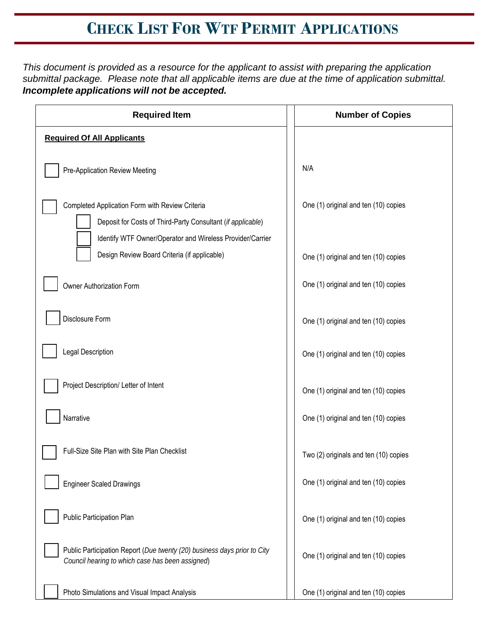## **CHECK LIST FOR WTF PERMIT APPLICATIONS**

*This document is provided as a resource for the applicant to assist with preparing the application submittal package. Please note that all applicable items are due at the time of application submittal. Incomplete applications will not be accepted.*

| <b>Required Item</b>                                                                                                                                                        | <b>Number of Copies</b>               |
|-----------------------------------------------------------------------------------------------------------------------------------------------------------------------------|---------------------------------------|
| <b>Required Of All Applicants</b>                                                                                                                                           |                                       |
| Pre-Application Review Meeting                                                                                                                                              | N/A                                   |
| Completed Application Form with Review Criteria<br>Deposit for Costs of Third-Party Consultant (if applicable)<br>Identify WTF Owner/Operator and Wireless Provider/Carrier | One (1) original and ten (10) copies  |
| Design Review Board Criteria (if applicable)                                                                                                                                | One (1) original and ten (10) copies  |
| Owner Authorization Form                                                                                                                                                    | One (1) original and ten (10) copies  |
| Disclosure Form                                                                                                                                                             | One (1) original and ten (10) copies  |
| Legal Description                                                                                                                                                           | One (1) original and ten (10) copies  |
| Project Description/ Letter of Intent                                                                                                                                       | One (1) original and ten (10) copies  |
| Narrative                                                                                                                                                                   | One (1) original and ten (10) copies  |
| Full-Size Site Plan with Site Plan Checklist                                                                                                                                | Two (2) originals and ten (10) copies |
| <b>Engineer Scaled Drawings</b>                                                                                                                                             | One (1) original and ten (10) copies  |
| Public Participation Plan                                                                                                                                                   | One (1) original and ten (10) copies  |
| Public Participation Report (Due twenty (20) business days prior to City<br>Council hearing to which case has been assigned)                                                | One (1) original and ten (10) copies  |
| Photo Simulations and Visual Impact Analysis                                                                                                                                | One (1) original and ten (10) copies  |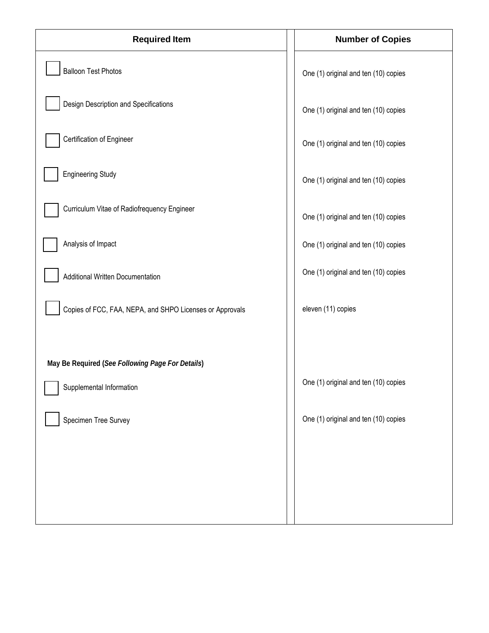| <b>Required Item</b>                                                         | <b>Number of Copies</b>              |
|------------------------------------------------------------------------------|--------------------------------------|
| <b>Balloon Test Photos</b>                                                   | One (1) original and ten (10) copies |
| Design Description and Specifications                                        | One (1) original and ten (10) copies |
| Certification of Engineer                                                    | One (1) original and ten (10) copies |
| <b>Engineering Study</b>                                                     | One (1) original and ten (10) copies |
| Curriculum Vitae of Radiofrequency Engineer                                  | One (1) original and ten (10) copies |
| Analysis of Impact                                                           | One (1) original and ten (10) copies |
| Additional Written Documentation                                             | One (1) original and ten (10) copies |
| Copies of FCC, FAA, NEPA, and SHPO Licenses or Approvals                     | eleven (11) copies                   |
|                                                                              |                                      |
| May Be Required (See Following Page For Details)<br>Supplemental Information | One (1) original and ten (10) copies |
| Specimen Tree Survey                                                         | One (1) original and ten (10) copies |
|                                                                              |                                      |
|                                                                              |                                      |
|                                                                              |                                      |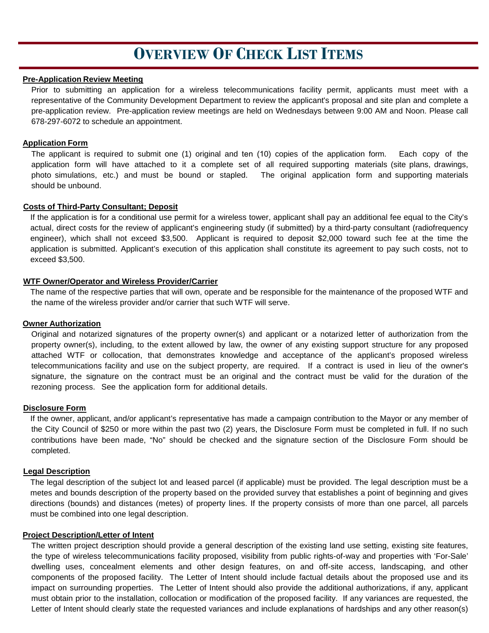## **OVERVIEW OF CHECK LIST ITEMS**

### **Pre-Application Review Meeting**

Prior to submitting an application for a wireless telecommunications facility permit, applicants must meet with a representative of the Community Development Department to review the applicant's proposal and site plan and complete a pre-application review. Pre-application review meetings are held on Wednesdays between 9:00 AM and Noon. Please call 678-297-6072 to schedule an appointment.

### **Application Form**

The applicant is required to submit one (1) original and ten (10) copies of the application form. Each copy of the application form will have attached to it a complete set of all required supporting materials (site plans, drawings, photo simulations, etc.) and must be bound or stapled. The original application form and supporting materials should be unbound.

### **Costs of Third-Party Consultant; Deposit**

If the application is for a conditional use permit for a wireless tower, applicant shall pay an additional fee equal to the City's actual, direct costs for the review of applicant's engineering study (if submitted) by a third-party consultant (radiofrequency engineer), which shall not exceed \$3,500. Applicant is required to deposit \$2,000 toward such fee at the time the application is submitted. Applicant's execution of this application shall constitute its agreement to pay such costs, not to exceed \$3,500.

### **WTF Owner/Operator and Wireless Provider/Carrier**

The name of the respective parties that will own, operate and be responsible for the maintenance of the proposed WTF and the name of the wireless provider and/or carrier that such WTF will serve.

### **Owner Authorization**

Original and notarized signatures of the property owner(s) and applicant or a notarized letter of authorization from the property owner(s), including, to the extent allowed by law, the owner of any existing support structure for any proposed attached WTF or collocation, that demonstrates knowledge and acceptance of the applicant's proposed wireless telecommunications facility and use on the subject property, are required. If a contract is used in lieu of the owner's signature, the signature on the contract must be an original and the contract must be valid for the duration of the rezoning process. See the application form for additional details.

### **Disclosure Form**

If the owner, applicant, and/or applicant's representative has made a campaign contribution to the Mayor or any member of the City Council of \$250 or more within the past two (2) years, the Disclosure Form must be completed in full. If no such contributions have been made, "No" should be checked and the signature section of the Disclosure Form should be completed.

### **Legal Description**

The legal description of the subject lot and leased parcel (if applicable) must be provided. The legal description must be a metes and bounds description of the property based on the provided survey that establishes a point of beginning and gives directions (bounds) and distances (metes) of property lines. If the property consists of more than one parcel, all parcels must be combined into one legal description.

### **Project Description/Letter of Intent**

The written project description should provide a general description of the existing land use setting, existing site features, the type of wireless telecommunications facility proposed, visibility from public rights-of-way and properties with 'For-Sale' dwelling uses, concealment elements and other design features, on and off-site access, landscaping, and other components of the proposed facility. The Letter of Intent should include factual details about the proposed use and its impact on surrounding properties. The Letter of Intent should also provide the additional authorizations, if any, applicant must obtain prior to the installation, collocation or modification of the proposed facility. If any variances are requested, the Letter of Intent should clearly state the requested variances and include explanations of hardships and any other reason(s)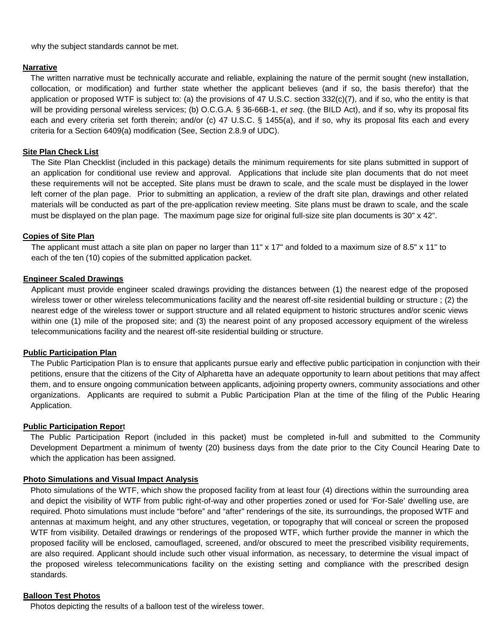why the subject standards cannot be met.

### **Narrative**

The written narrative must be technically accurate and reliable, explaining the nature of the permit sought (new installation, collocation, or modification) and further state whether the applicant believes (and if so, the basis therefor) that the application or proposed WTF is subject to: (a) the provisions of 47 U.S.C. section 332(c)(7), and if so, who the entity is that will be providing personal wireless services; (b) O.C.G.A. § 36-66B-1, *et seq*. (the BILD Act), and if so, why its proposal fits each and every criteria set forth therein; and/or (c) 47 U.S.C. § 1455(a), and if so, why its proposal fits each and every criteria for a Section 6409(a) modification (See, Section 2.8.9 of UDC).

### **Site Plan Check List**

The Site Plan Checklist (included in this package) details the minimum requirements for site plans submitted in support of an application for conditional use review and approval. Applications that include site plan documents that do not meet these requirements will not be accepted. Site plans must be drawn to scale, and the scale must be displayed in the lower left corner of the plan page. Prior to submitting an application, a review of the draft site plan, drawings and other related materials will be conducted as part of the pre-application review meeting. Site plans must be drawn to scale, and the scale must be displayed on the plan page. The maximum page size for original full-size site plan documents is 30" x 42".

### **Copies of Site Plan**

The applicant must attach a site plan on paper no larger than 11" x 17" and folded to a maximum size of 8.5" x 11" to each of the ten (10) copies of the submitted application packet.

### **Engineer Scaled Drawings**

Applicant must provide engineer scaled drawings providing the distances between (1) the nearest edge of the proposed wireless tower or other wireless telecommunications facility and the nearest off-site residential building or structure ; (2) the nearest edge of the wireless tower or support structure and all related equipment to historic structures and/or scenic views within one (1) mile of the proposed site; and (3) the nearest point of any proposed accessory equipment of the wireless telecommunications facility and the nearest off-site residential building or structure.

### **Public Participation Plan**

The Public Participation Plan is to ensure that applicants pursue early and effective public participation in conjunction with their petitions, ensure that the citizens of the City of Alpharetta have an adequate opportunity to learn about petitions that may affect them, and to ensure ongoing communication between applicants, adjoining property owners, community associations and other organizations. Applicants are required to submit a Public Participation Plan at the time of the filing of the Public Hearing Application.

### **Public Participation Repor**t

The Public Participation Report (included in this packet) must be completed in-full and submitted to the Community Development Department a minimum of twenty (20) business days from the date prior to the City Council Hearing Date to which the application has been assigned.

## **Photo Simulations and Visual Impact Analysis**

Photo simulations of the WTF, which show the proposed facility from at least four (4) directions within the surrounding area and depict the visibility of WTF from public right-of-way and other properties zoned or used for 'For-Sale' dwelling use, are required. Photo simulations must include "before" and "after" renderings of the site, its surroundings, the proposed WTF and antennas at maximum height, and any other structures, vegetation, or topography that will conceal or screen the proposed WTF from visibility. Detailed drawings or renderings of the proposed WTF, which further provide the manner in which the proposed facility will be enclosed, camouflaged, screened, and/or obscured to meet the prescribed visibility requirements, are also required. Applicant should include such other visual information, as necessary, to determine the visual impact of the proposed wireless telecommunications facility on the existing setting and compliance with the prescribed design standards.

## **Balloon Test Photos**

Photos depicting the results of a balloon test of the wireless tower.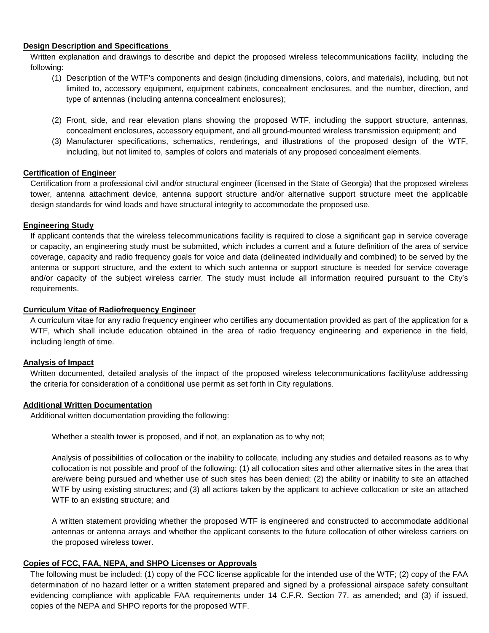### **Design Description and Specifications**

Written explanation and drawings to describe and depict the proposed wireless telecommunications facility, including the following:

- (1) Description of the WTF's components and design (including dimensions, colors, and materials), including, but not limited to, accessory equipment, equipment cabinets, concealment enclosures, and the number, direction, and type of antennas (including antenna concealment enclosures);
- (2) Front, side, and rear elevation plans showing the proposed WTF, including the support structure, antennas, concealment enclosures, accessory equipment, and all ground-mounted wireless transmission equipment; and
- (3) Manufacturer specifications, schematics, renderings, and illustrations of the proposed design of the WTF, including, but not limited to, samples of colors and materials of any proposed concealment elements.

## **Certification of Engineer**

Certification from a professional civil and/or structural engineer (licensed in the State of Georgia) that the proposed wireless tower, antenna attachment device, antenna support structure and/or alternative support structure meet the applicable design standards for wind loads and have structural integrity to accommodate the proposed use.

## **Engineering Study**

If applicant contends that the wireless telecommunications facility is required to close a significant gap in service coverage or capacity, an engineering study must be submitted, which includes a current and a future definition of the area of service coverage, capacity and radio frequency goals for voice and data (delineated individually and combined) to be served by the antenna or support structure, and the extent to which such antenna or support structure is needed for service coverage and/or capacity of the subject wireless carrier. The study must include all information required pursuant to the City's requirements.

### **Curriculum Vitae of Radiofrequency Engineer**

A curriculum vitae for any radio frequency engineer who certifies any documentation provided as part of the application for a WTF, which shall include education obtained in the area of radio frequency engineering and experience in the field, including length of time.

## **Analysis of Impact**

Written documented, detailed analysis of the impact of the proposed wireless telecommunications facility/use addressing the criteria for consideration of a conditional use permit as set forth in City regulations.

## **Additional Written Documentation**

Additional written documentation providing the following:

Whether a stealth tower is proposed, and if not, an explanation as to why not;

Analysis of possibilities of collocation or the inability to collocate, including any studies and detailed reasons as to why collocation is not possible and proof of the following: (1) all collocation sites and other alternative sites in the area that are/were being pursued and whether use of such sites has been denied; (2) the ability or inability to site an attached WTF by using existing structures; and (3) all actions taken by the applicant to achieve collocation or site an attached WTF to an existing structure; and

A written statement providing whether the proposed WTF is engineered and constructed to accommodate additional antennas or antenna arrays and whether the applicant consents to the future collocation of other wireless carriers on the proposed wireless tower.

## **Copies of FCC, FAA, NEPA, and SHPO Licenses or Approvals**

The following must be included: (1) copy of the FCC license applicable for the intended use of the WTF; (2) copy of the FAA determination of no hazard letter or a written statement prepared and signed by a professional airspace safety consultant evidencing compliance with applicable FAA requirements under 14 C.F.R. Section 77, as amended; and (3) if issued, copies of the NEPA and SHPO reports for the proposed WTF.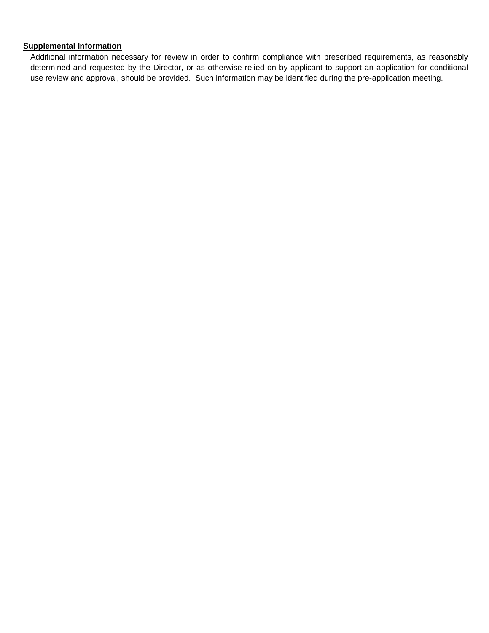## **Supplemental Information**

Additional information necessary for review in order to confirm compliance with prescribed requirements, as reasonably determined and requested by the Director, or as otherwise relied on by applicant to support an application for conditional use review and approval, should be provided. Such information may be identified during the pre-application meeting.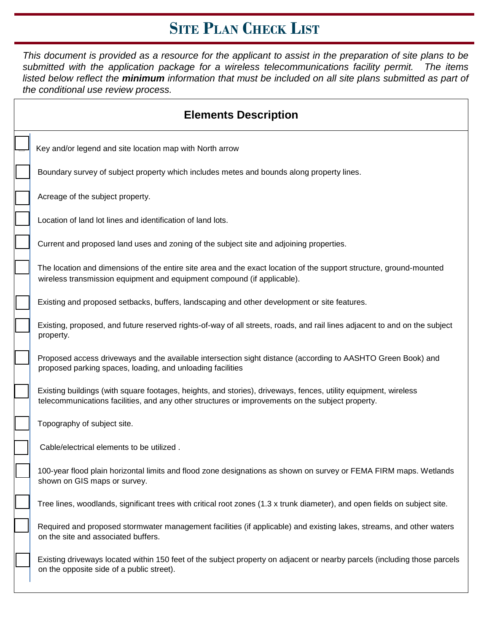## **SITE PLAN CHECK LIST**

*This document is provided as a resource for the applicant to assist in the preparation of site plans to be submitted with the application package for a wireless telecommunications facility permit. The items listed below reflect the minimum information that must be included on all site plans submitted as part of the conditional use review process.* 

| <b>Elements Description</b>                                                                                                                                                                                         |
|---------------------------------------------------------------------------------------------------------------------------------------------------------------------------------------------------------------------|
| Key and/or legend and site location map with North arrow                                                                                                                                                            |
| Boundary survey of subject property which includes metes and bounds along property lines.                                                                                                                           |
| Acreage of the subject property.                                                                                                                                                                                    |
| Location of land lot lines and identification of land lots.                                                                                                                                                         |
| Current and proposed land uses and zoning of the subject site and adjoining properties.                                                                                                                             |
| The location and dimensions of the entire site area and the exact location of the support structure, ground-mounted<br>wireless transmission equipment and equipment compound (if applicable).                      |
| Existing and proposed setbacks, buffers, landscaping and other development or site features.                                                                                                                        |
| Existing, proposed, and future reserved rights-of-way of all streets, roads, and rail lines adjacent to and on the subject<br>property.                                                                             |
| Proposed access driveways and the available intersection sight distance (according to AASHTO Green Book) and<br>proposed parking spaces, loading, and unloading facilities                                          |
| Existing buildings (with square footages, heights, and stories), driveways, fences, utility equipment, wireless<br>telecommunications facilities, and any other structures or improvements on the subject property. |
| Topography of subject site.                                                                                                                                                                                         |
| Cable/electrical elements to be utilized.                                                                                                                                                                           |
| 100-year flood plain horizontal limits and flood zone designations as shown on survey or FEMA FIRM maps. Wetlands<br>shown on GIS maps or survey.                                                                   |
| Tree lines, woodlands, significant trees with critical root zones (1.3 x trunk diameter), and open fields on subject site.                                                                                          |
| Required and proposed stormwater management facilities (if applicable) and existing lakes, streams, and other waters<br>on the site and associated buffers.                                                         |
| Existing driveways located within 150 feet of the subject property on adjacent or nearby parcels (including those parcels<br>on the opposite side of a public street).                                              |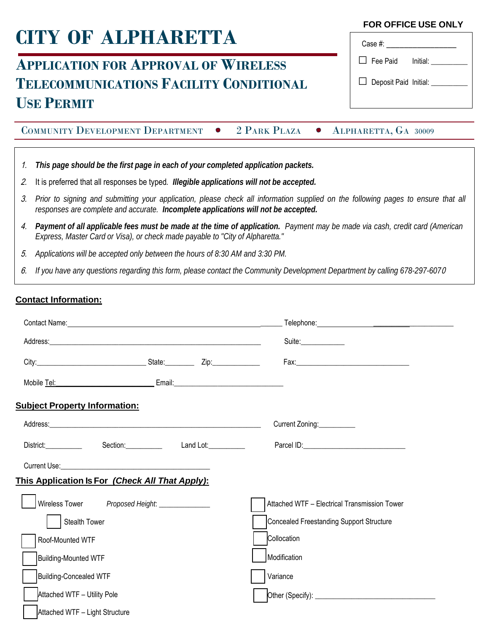# **CITY OF ALPHARETTA**

## **APPLICATION FOR APPROVAL OF WIRELESS TELECOMMUNICATIONS FACILITY CONDITIONAL USE PERMIT**

COMMUNITY DEVELOPMENT DEPARTMENT • 2 PARK PLAZA • ALPHARETTA, GA 30009

- 1. *This page should be the first page in each of your completed application packets.*
- 2. It is preferred that all responses be typed*. Illegible applications will not be accepted.*
- 3. Prior to signing and submitting your application, please check all information supplied on the following pages to ensure that all *responses are complete and accurate. Incomplete applications will not be accepted.*
- 4. Payment of all applicable fees must be made at the time of application. Payment may be made via cash, credit card (American *Express, Master Card or Visa), or check made payable to "City of Alpharetta."*
- 5. *Applications will be accepted only between the hours of 8:30 AM and 3:30 PM.*
- 6. *If you have any questions regarding this form, please contact the Community Development Department by calling 678-297-607*0

## **Contact Information:**

|                                                                                                                                                                                                                                      |  | Contact Name: <u>Contact Name: Contact Name: Contact Name: Contact Name: Contact Name: Contact Name: Contact Name: Contact Name: Contact Name: Contact Name: Contact Name: Contact Name: Contact Name: Contact Name: Contact Nam</u> |
|--------------------------------------------------------------------------------------------------------------------------------------------------------------------------------------------------------------------------------------|--|--------------------------------------------------------------------------------------------------------------------------------------------------------------------------------------------------------------------------------------|
|                                                                                                                                                                                                                                      |  | Suite:                                                                                                                                                                                                                               |
| City: City: City: City: City: City: City: City: City: City: City: City: City: City: City: City: City: City: City: City: City: City: City: City: City: City: City: City: City: City: City: City: City: City: City: City: City:        |  |                                                                                                                                                                                                                                      |
|                                                                                                                                                                                                                                      |  |                                                                                                                                                                                                                                      |
| <b>Subject Property Information:</b>                                                                                                                                                                                                 |  |                                                                                                                                                                                                                                      |
|                                                                                                                                                                                                                                      |  | Current Zoning:                                                                                                                                                                                                                      |
| District: Section: Containing the Manual Contains and Lot:                                                                                                                                                                           |  |                                                                                                                                                                                                                                      |
| Current Use: <u>New York: New York: New York: New York: New York: New York: New York: New York: New York: New York: New York: New York: New York: New York: New York: New York: New York: New York: New York: New York: New York</u> |  |                                                                                                                                                                                                                                      |
| <u>This Application Is For (Check All That Apply):</u>                                                                                                                                                                               |  |                                                                                                                                                                                                                                      |
| Wireless Tower Proposed Height: ______________                                                                                                                                                                                       |  | Attached WTF - Electrical Transmission Tower                                                                                                                                                                                         |
| Stealth Tower                                                                                                                                                                                                                        |  | Concealed Freestanding Support Structure                                                                                                                                                                                             |
| Roof-Mounted WTF                                                                                                                                                                                                                     |  | Collocation                                                                                                                                                                                                                          |
| <b>Building-Mounted WTF</b>                                                                                                                                                                                                          |  | Modification                                                                                                                                                                                                                         |
| <b>Building-Concealed WTF</b>                                                                                                                                                                                                        |  | Variance                                                                                                                                                                                                                             |
| Attached WTF - Utility Pole                                                                                                                                                                                                          |  |                                                                                                                                                                                                                                      |
| Attached WTF - Light Structure                                                                                                                                                                                                       |  |                                                                                                                                                                                                                                      |

## **FOR OFFICE USE ONLY**

| Case #: ________                   |  |
|------------------------------------|--|
| $\Box$ Fee Paid Initial: _________ |  |
| Deposit Paid Initial: _______      |  |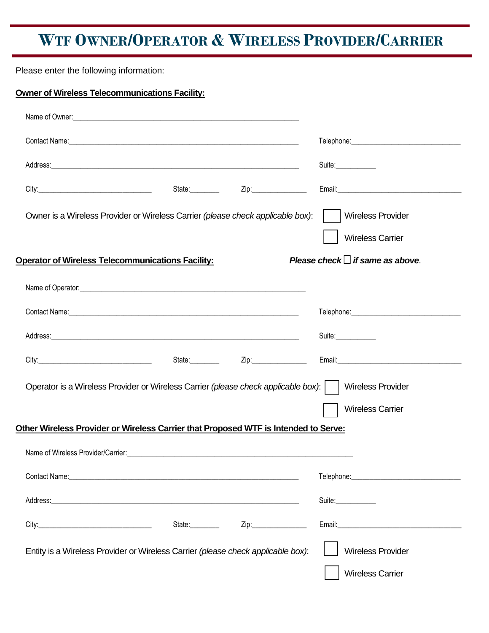## **WTF OWNER/OPERATOR & WIRELESS PROVIDER/CARRIER**

Please enter the following information:

**Owner of Wireless Telecommunications Facility:**

| Name of Owner:<br><u> Name of Owner:</u>                                                                                                                                                                                       |                 |      |                                                     |
|--------------------------------------------------------------------------------------------------------------------------------------------------------------------------------------------------------------------------------|-----------------|------|-----------------------------------------------------|
|                                                                                                                                                                                                                                |                 |      |                                                     |
|                                                                                                                                                                                                                                |                 |      | Suite:                                              |
|                                                                                                                                                                                                                                |                 |      |                                                     |
| Owner is a Wireless Provider or Wireless Carrier (please check applicable box):                                                                                                                                                |                 |      | <b>Wireless Provider</b><br><b>Wireless Carrier</b> |
| <b>Operator of Wireless Telecommunications Facility:</b>                                                                                                                                                                       |                 |      | Please check $\Box$ if same as above.               |
|                                                                                                                                                                                                                                |                 |      |                                                     |
|                                                                                                                                                                                                                                |                 |      |                                                     |
|                                                                                                                                                                                                                                |                 |      | Suite:____________                                  |
|                                                                                                                                                                                                                                | State:_________ | Zip: |                                                     |
| Operator is a Wireless Provider or Wireless Carrier (please check applicable box):                                                                                                                                             |                 |      | <b>Wireless Provider</b>                            |
|                                                                                                                                                                                                                                |                 |      | <b>Wireless Carrier</b>                             |
| Other Wireless Provider or Wireless Carrier that Proposed WTF is Intended to Serve:                                                                                                                                            |                 |      |                                                     |
| Name of Wireless Provider/Carrier:                                                                                                                                                                                             |                 |      |                                                     |
| Contact Name: 1988 Contact Name: 1988 Contact Name: 1988 Contact Name: 1988 Contact Name: 1988 Contact Name: 1988 Contact Name: 1988 Contact Name: 1988 Contact Name: 1988 Contact Name: 1988 Contact Name: 1988 Contact Name: |                 |      |                                                     |
|                                                                                                                                                                                                                                |                 |      | Suite:____________                                  |
|                                                                                                                                                                                                                                | State:_________ | Zip: |                                                     |
| Entity is a Wireless Provider or Wireless Carrier (please check applicable box):                                                                                                                                               |                 |      | <b>Wireless Provider</b><br><b>Wireless Carrier</b> |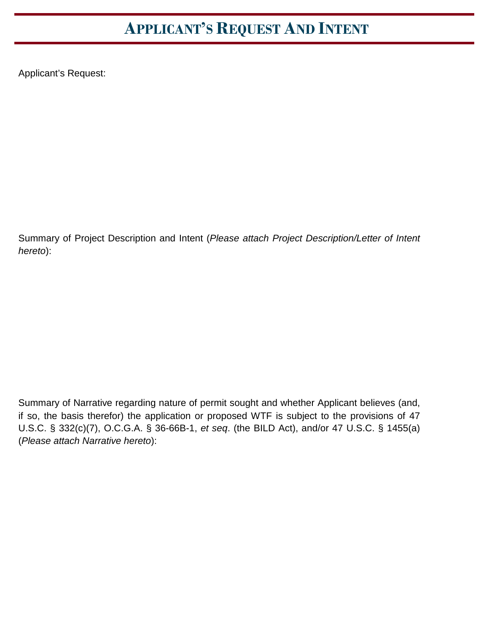## **APPLICANT'S REQUEST AND INTENT**

Applicant's Request:

Summary of Project Description and Intent (*Please attach Project Description/Letter of Intent hereto*):

Summary of Narrative regarding nature of permit sought and whether Applicant believes (and, if so, the basis therefor) the application or proposed WTF is subject to the provisions of 47 U.S.C. § 332(c)(7), O.C.G.A. § 36-66B-1, *et seq*. (the BILD Act), and/or 47 U.S.C. § 1455(a) (*Please attach Narrative hereto*):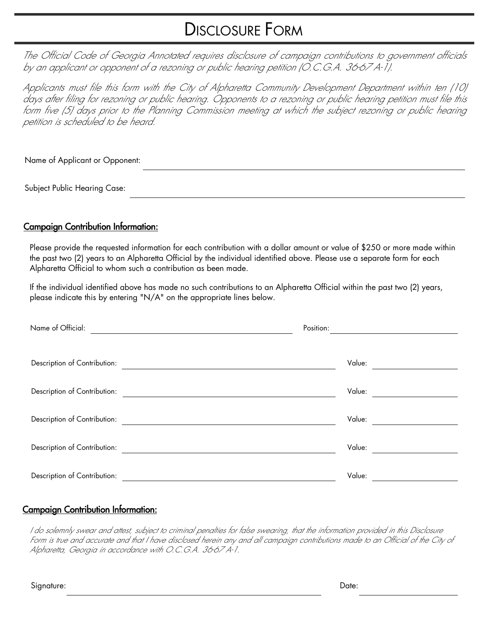## DISCLOSURE FORM

The Official Code of Georgia Annotated requires disclosure of campaign contributions to government officials by an applicant or opponent of a rezoning or public hearing petition (O.C.G.A. 36-67 A-1).

Applicants must file this form with the City of Alpharetta Community Development Department within ten (10) days after filing for rezoning or public hearing. Opponents to a rezoning or public hearing petition must file this form five (5) days prior to the Planning Commission meeting at which the subject rezoning or public hearing petition is scheduled to be heard.

Name of Applicant or Opponent:

Subject Public Hearing Case:

## Campaign Contribution Information:

Please provide the requested information for each contribution with a dollar amount or value of \$250 or more made within the past two (2) years to an Alpharetta Official by the individual identified above. Please use a separate form for each Alpharetta Official to whom such a contribution as been made.

If the individual identified above has made no such contributions to an Alpharetta Official within the past two (2) years, please indicate this by entering "N/A" on the appropriate lines below.

| Name of Official:            | Position: |  |
|------------------------------|-----------|--|
|                              |           |  |
| Description of Contribution: | Value:    |  |
|                              |           |  |
| Description of Contribution: | Value:    |  |
| Description of Contribution: | Value:    |  |
|                              |           |  |
| Description of Contribution: | Value:    |  |
|                              |           |  |
| Description of Contribution: | Value:    |  |

## Campaign Contribution Information:

I do solemnly swear and attest, subject to criminal penalties for false swearing, that the information provided in this Disclosure Form is true and accurate and that I have disclosed herein any and all campaign contributions made to an Official of the City of Alpharetta, Georgia in accordance with O.C.G.A. 36-67 A-1.

Signature: Date: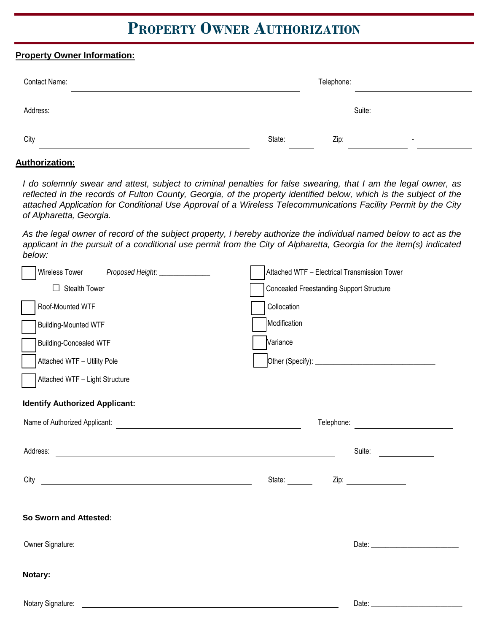## **PROPERTY OWNER AUTHORIZATION**

## **Property Owner Information:**

| Contact Name: |        | Telephone: |        |                          |  |
|---------------|--------|------------|--------|--------------------------|--|
| Address:      |        |            | Suite: |                          |  |
| City          | State: | Zip:       |        | $\overline{\phantom{a}}$ |  |

## **Authorization:**

*I do solemnly swear and attest, subject to criminal penalties for false swearing, that I am the legal owner, as*  reflected in the records of Fulton County, Georgia, of the property identified below, which is the subject of the *attached Application for Conditional Use Approval of a Wireless Telecommunications Facility Permit by the City of Alpharetta, Georgia.*

As the legal owner of record of the subject property, I hereby authorize the individual named below to act as the *applicant in the pursuit of a conditional use permit from the City of Alpharetta, Georgia for the item(s) indicated below:*

| Wireless Tower<br>Proposed Height: _______________                                                                                                                                                                                   | Attached WTF - Electrical Transmission Tower    |
|--------------------------------------------------------------------------------------------------------------------------------------------------------------------------------------------------------------------------------------|-------------------------------------------------|
| $\Box$ Stealth Tower                                                                                                                                                                                                                 | <b>Concealed Freestanding Support Structure</b> |
| Roof-Mounted WTF                                                                                                                                                                                                                     | Collocation                                     |
| <b>Building-Mounted WTF</b>                                                                                                                                                                                                          | Modification                                    |
| <b>Building-Concealed WTF</b>                                                                                                                                                                                                        | Variance                                        |
| Attached WTF - Utility Pole                                                                                                                                                                                                          |                                                 |
| Attached WTF - Light Structure                                                                                                                                                                                                       |                                                 |
| <b>Identify Authorized Applicant:</b>                                                                                                                                                                                                |                                                 |
|                                                                                                                                                                                                                                      |                                                 |
| Address: <u>the contract of the contract of the contract of the contract of the contract of the contract of the contract of the contract of the contract of the contract of the contract of the contract of the contract of the </u> | Suite:                                          |
| City <u>the contract of the contract of the contract of the contract of the contract of the contract of the contract of the contract of the contract of the contract of the contract of the contract of the contract of the cont</u> | Zip:<br>State:                                  |
| So Sworn and Attested:                                                                                                                                                                                                               |                                                 |
|                                                                                                                                                                                                                                      |                                                 |
| Notary:                                                                                                                                                                                                                              |                                                 |
| Notary Signature:                                                                                                                                                                                                                    | Date:                                           |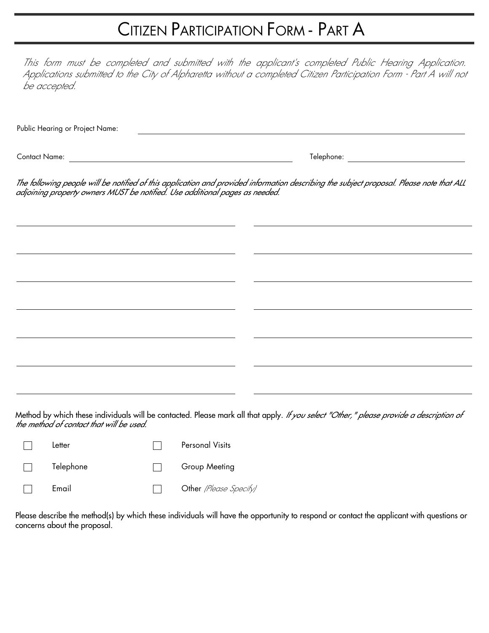## CITIZEN PARTICIPATION FORM - PART A

This form must be completed and submitted with the applicant's completed Public Hearing Application. Applications submitted to the City of Alpharetta without a completed Citizen Participation Form - Part A will not be accepted.

Public Hearing or Project Name:

Contact Name: Telephone:

The following people will be notified of this application and provided information describing the subject proposal. Please note that ALL adjoining property owners MUST be notified. Use additional pages as needed.

Method by which these individuals will be contacted. Please mark all that apply. If you select "Other," please provide a description of the method of contact that will be used.

| Letter    | <b>Personal Visits</b> |
|-----------|------------------------|
| Telephone | Group Meeting          |
| Email     | Other (Please Specity) |

Please describe the method(s) by which these individuals will have the opportunity to respond or contact the applicant with questions or concerns about the proposal.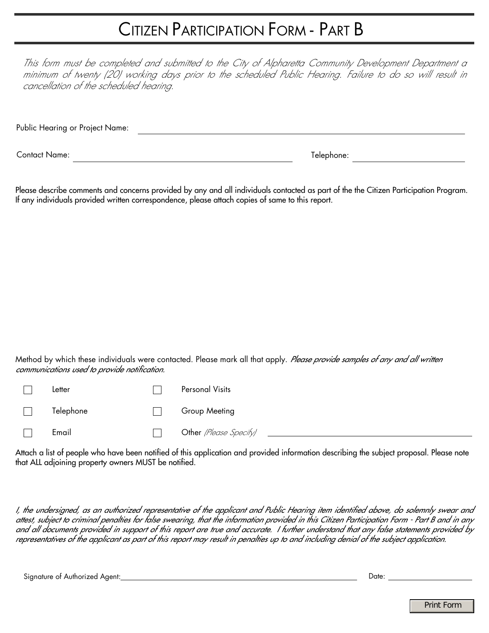## CITIZEN PARTICIPATION FORM - PART B

This form must be completed and submitted to the City of Alpharetta Community Development Department a minimum of twenty (20) working days prior to the scheduled Public Hearing. Failure to do so will result in cancellation of the scheduled hearing.

Public Hearing or Project Name: Contact Name: Telephone:

Please describe comments and concerns provided by any and all individuals contacted as part of the the Citizen Participation Program. If any individuals provided written correspondence, please attach copies of same to this report.

Method by which these individuals were contacted. Please mark all that apply. Please provide samples of any and all written communications used to provide notification.

|        | Letter    | Personal Visits           |
|--------|-----------|---------------------------|
| $\Box$ | Telephone | Group Meeting             |
|        | Email     | Other (Please Specify) __ |

Attach a list of people who have been notified of this application and provided information describing the subject proposal. Please note that ALL adjoining property owners MUST be notified.

I, the undersigned, as an authorized representative of the applicant and Public Hearing item identified above, do solemnly swear and attest, subject to criminal penalties for false swearing, that the information provided in this Citizen Participation Form - Part B and in any and all documents provided in support of this report are true and accurate. I further understand that any false statements provided by representatives of the applicant as part of this report may result in penalties up to and including denial of the subject application.

Signature of Authorized Agent: Date: Date: Date: Date: Date: Date: Date: Date: Date: Date: Date: Date: Date: Date: Date: Date: Date: Date: Date: Date: Date: Date: Date: Date: Date: Date: Date: Date: Date: Date: Date: Date: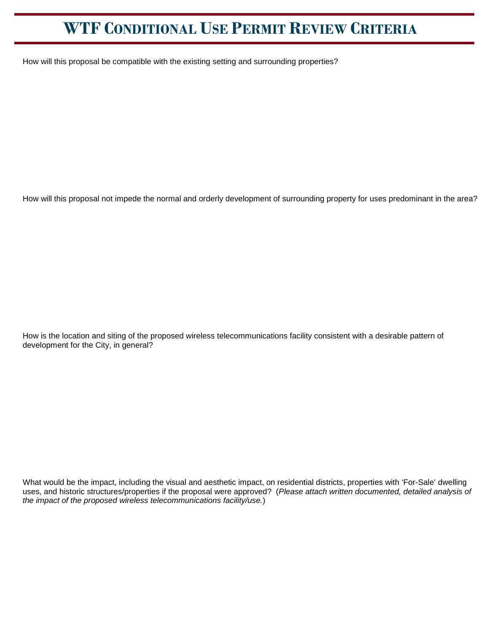How will this proposal be compatible with the existing setting and surrounding properties?

How will this proposal not impede the normal and orderly development of surrounding property for uses predominant in the area?

How is the location and siting of the proposed wireless telecommunications facility consistent with a desirable pattern of development for the City, in general?

What would be the impact, including the visual and aesthetic impact, on residential districts, properties with 'For-Sale' dwelling uses, and historic structures/properties if the proposal were approved? (*Please attach written documented, detailed analysis of the impact of the proposed wireless telecommunications facility/use.*)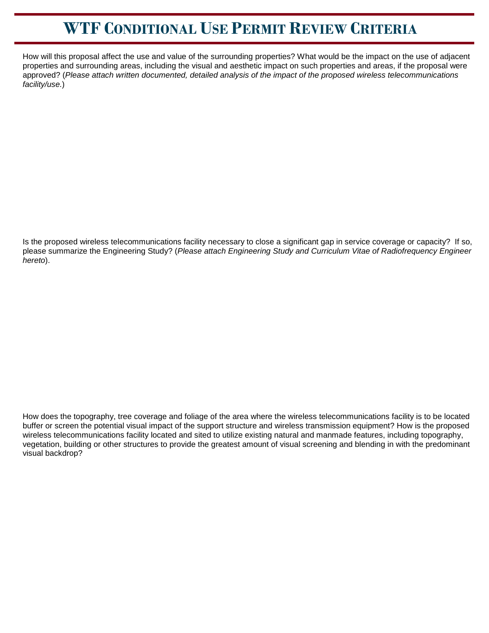How will this proposal affect the use and value of the surrounding properties? What would be the impact on the use of adjacent properties and surrounding areas, including the visual and aesthetic impact on such properties and areas, if the proposal were approved? (*Please attach written documented, detailed analysis of the impact of the proposed wireless telecommunications facility/use.*)

Is the proposed wireless telecommunications facility necessary to close a significant gap in service coverage or capacity? If so, please summarize the Engineering Study? (*Please attach Engineering Study and Curriculum Vitae of Radiofrequency Engineer hereto*).

How does the topography, tree coverage and foliage of the area where the wireless telecommunications facility is to be located buffer or screen the potential visual impact of the support structure and wireless transmission equipment? How is the proposed wireless telecommunications facility located and sited to utilize existing natural and manmade features, including topography, vegetation, building or other structures to provide the greatest amount of visual screening and blending in with the predominant visual backdrop?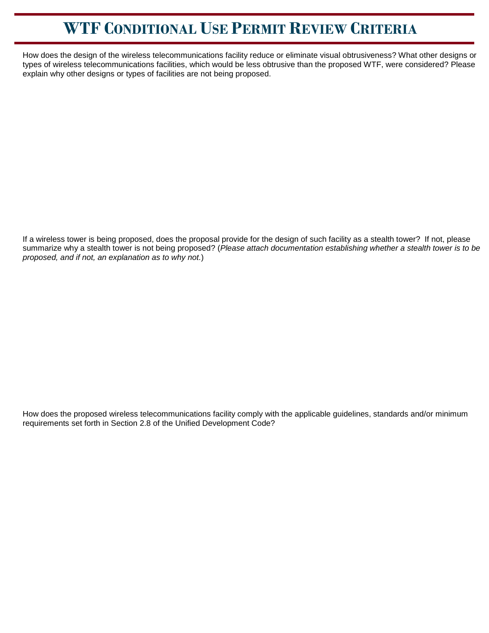How does the design of the wireless telecommunications facility reduce or eliminate visual obtrusiveness? What other designs or types of wireless telecommunications facilities, which would be less obtrusive than the proposed WTF, were considered? Please explain why other designs or types of facilities are not being proposed.

If a wireless tower is being proposed, does the proposal provide for the design of such facility as a stealth tower? If not, please summarize why a stealth tower is not being proposed? (*Please attach documentation establishing whether a stealth tower is to be proposed, and if not, an explanation as to why not.*)

How does the proposed wireless telecommunications facility comply with the applicable guidelines, standards and/or minimum requirements set forth in Section 2.8 of the Unified Development Code?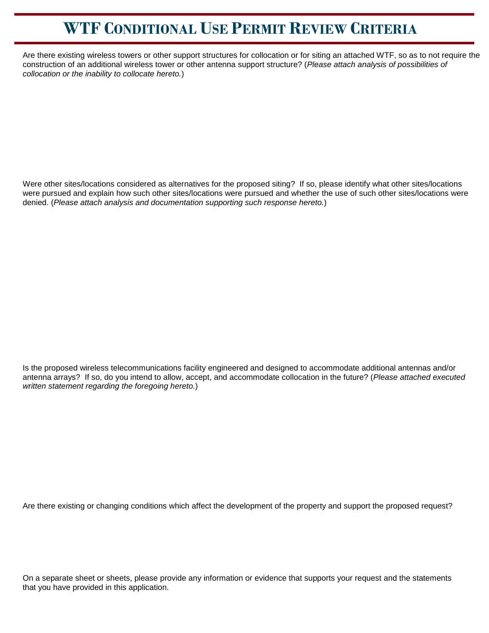Are there existing wireless towers or other support structures for collocation or for siting an attached WTF, so as to not require the construction of an additional wireless tower or other antenna support structure? (*Please attach analysis of possibilities of collocation or the inability to collocate hereto.*)

Were other sites/locations considered as alternatives for the proposed siting? If so, please identify what other sites/locations were pursued and explain how such other sites/locations were pursued and whether the use of such other sites/locations were denied. (*Please attach analysis and documentation supporting such response hereto.*)

Is the proposed wireless telecommunications facility engineered and designed to accommodate additional antennas and/or antenna arrays? If so, do you intend to allow, accept, and accommodate collocation in the future? (*Please attached executed written statement regarding the foregoing hereto.*)

Are there existing or changing conditions which affect the development of the property and support the proposed request?

On a separate sheet or sheets, please provide any information or evidence that supports your request and the statements that you have provided in this application.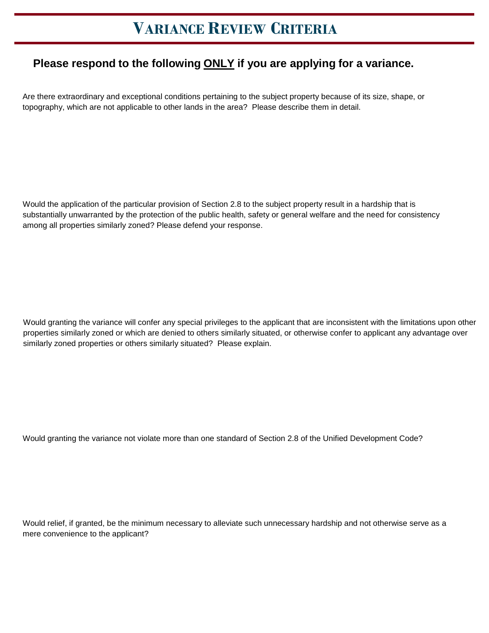## **VARIANCE REVIEW CRITERIA**

## **Please respond to the following ONLY if you are applying for a variance.**

Are there extraordinary and exceptional conditions pertaining to the subject property because of its size, shape, or topography, which are not applicable to other lands in the area? Please describe them in detail.

Would the application of the particular provision of Section 2.8 to the subject property result in a hardship that is substantially unwarranted by the protection of the public health, safety or general welfare and the need for consistency among all properties similarly zoned? Please defend your response.

Would granting the variance will confer any special privileges to the applicant that are inconsistent with the limitations upon other properties similarly zoned or which are denied to others similarly situated, or otherwise confer to applicant any advantage over similarly zoned properties or others similarly situated? Please explain.

Would granting the variance not violate more than one standard of Section 2.8 of the Unified Development Code?

Would relief, if granted, be the minimum necessary to alleviate such unnecessary hardship and not otherwise serve as a mere convenience to the applicant?